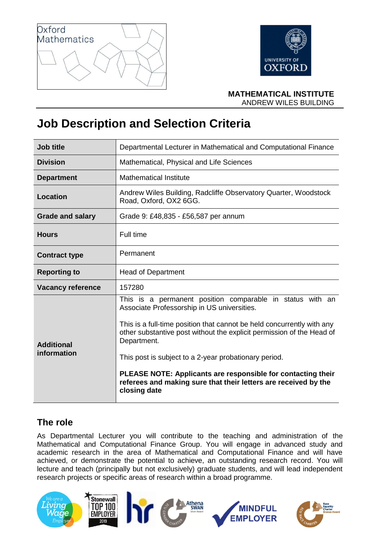



**MATHEMATICAL INSTITUTE** ANDREW WILES BUILDING

# **Job Description and Selection Criteria**

| Job title                        | Departmental Lecturer in Mathematical and Computational Finance                                                                                                                                                                                                                                                                                                                                                                                                                        |
|----------------------------------|----------------------------------------------------------------------------------------------------------------------------------------------------------------------------------------------------------------------------------------------------------------------------------------------------------------------------------------------------------------------------------------------------------------------------------------------------------------------------------------|
| <b>Division</b>                  | Mathematical, Physical and Life Sciences                                                                                                                                                                                                                                                                                                                                                                                                                                               |
| <b>Department</b>                | <b>Mathematical Institute</b>                                                                                                                                                                                                                                                                                                                                                                                                                                                          |
| <b>Location</b>                  | Andrew Wiles Building, Radcliffe Observatory Quarter, Woodstock<br>Road, Oxford, OX2 6GG.                                                                                                                                                                                                                                                                                                                                                                                              |
| <b>Grade and salary</b>          | Grade 9: £48,835 - £56,587 per annum                                                                                                                                                                                                                                                                                                                                                                                                                                                   |
| <b>Hours</b>                     | Full time                                                                                                                                                                                                                                                                                                                                                                                                                                                                              |
| <b>Contract type</b>             | Permanent                                                                                                                                                                                                                                                                                                                                                                                                                                                                              |
| <b>Reporting to</b>              | <b>Head of Department</b>                                                                                                                                                                                                                                                                                                                                                                                                                                                              |
| <b>Vacancy reference</b>         | 157280                                                                                                                                                                                                                                                                                                                                                                                                                                                                                 |
| <b>Additional</b><br>information | This is a permanent position comparable in status with an<br>Associate Professorship in US universities.<br>This is a full-time position that cannot be held concurrently with any<br>other substantive post without the explicit permission of the Head of<br>Department.<br>This post is subject to a 2-year probationary period.<br>PLEASE NOTE: Applicants are responsible for contacting their<br>referees and making sure that their letters are received by the<br>closing date |

# **The role**

As Departmental Lecturer you will contribute to the teaching and administration of the Mathematical and Computational Finance Group. You will engage in advanced study and academic research in the area of Mathematical and Computational Finance and will have achieved, or demonstrate the potential to achieve, an outstanding research record. You will lecture and teach (principally but not exclusively) graduate students, and will lead independent research projects or specific areas of research within a broad programme.

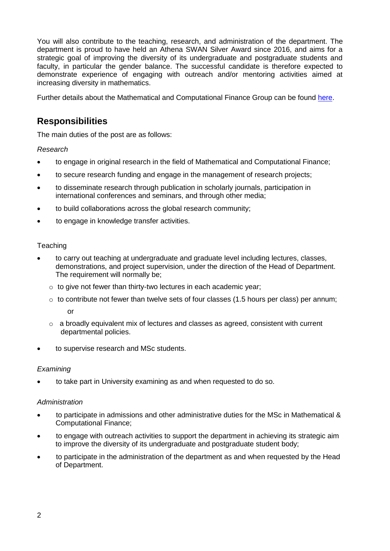You will also contribute to the teaching, research, and administration of the department. The department is proud to have held an Athena SWAN Silver Award since 2016, and aims for a strategic goal of improving the diversity of its undergraduate and postgraduate students and faculty, in particular the gender balance. The successful candidate is therefore expected to demonstrate experience of engaging with outreach and/or mentoring activities aimed at increasing diversity in mathematics.

Further details about the Mathematical and Computational Finance Group can be found [here.](https://www.maths.ox.ac.uk/groups/mathematical-finance)

# **Responsibilities**

The main duties of the post are as follows:

*Research*

- to engage in original research in the field of Mathematical and Computational Finance;
- to secure research funding and engage in the management of research projects;
- to disseminate research through publication in scholarly journals, participation in international conferences and seminars, and through other media;
- to build collaborations across the global research community;
- to engage in knowledge transfer activities.

#### **Teaching**

- to carry out teaching at undergraduate and graduate level including lectures, classes, demonstrations, and project supervision, under the direction of the Head of Department. The requirement will normally be;
	- $\circ$  to give not fewer than thirty-two lectures in each academic year;
	- $\circ$  to contribute not fewer than twelve sets of four classes (1.5 hours per class) per annum; or

- $\circ$  a broadly equivalent mix of lectures and classes as agreed, consistent with current departmental policies.
- to supervise research and MSc students.

#### *Examining*

• to take part in University examining as and when requested to do so.

#### *Administration*

- to participate in admissions and other administrative duties for the MSc in Mathematical & Computational Finance;
- to engage with outreach activities to support the department in achieving its strategic aim to improve the diversity of its undergraduate and postgraduate student body;
- to participate in the administration of the department as and when requested by the Head of Department.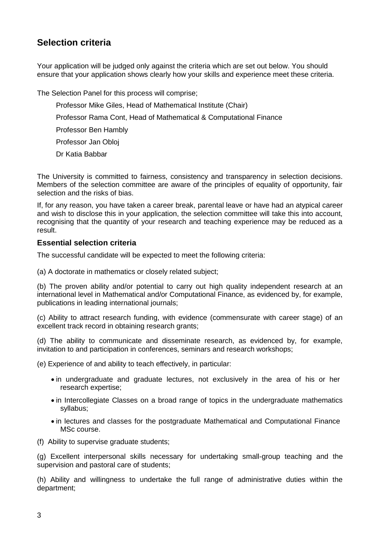# **Selection criteria**

Your application will be judged only against the criteria which are set out below. You should ensure that your application shows clearly how your skills and experience meet these criteria.

The Selection Panel for this process will comprise;

- Professor Mike Giles, Head of Mathematical Institute (Chair)
- Professor Rama Cont, Head of Mathematical & Computational Finance
- Professor Ben Hambly
- Professor Jan Obloj
- Dr Katia Babbar

The University is committed to fairness, consistency and transparency in selection decisions. Members of the selection committee are aware of the principles of equality of opportunity, fair selection and the risks of bias.

If, for any reason, you have taken a career break, parental leave or have had an atypical career and wish to disclose this in your application, the selection committee will take this into account, recognising that the quantity of your research and teaching experience may be reduced as a result.

#### **Essential selection criteria**

The successful candidate will be expected to meet the following criteria:

(a) A doctorate in mathematics or closely related subject;

(b) The proven ability and/or potential to carry out high quality independent research at an international level in Mathematical and/or Computational Finance, as evidenced by, for example, publications in leading international journals;

(c) Ability to attract research funding, with evidence (commensurate with career stage) of an excellent track record in obtaining research grants;

(d) The ability to communicate and disseminate research, as evidenced by, for example, invitation to and participation in conferences, seminars and research workshops;

(e) Experience of and ability to teach effectively, in particular:

- in undergraduate and graduate lectures, not exclusively in the area of his or her research expertise;
- in Intercollegiate Classes on a broad range of topics in the undergraduate mathematics syllabus;
- in lectures and classes for the postgraduate Mathematical and Computational Finance MSc course.
- (f) Ability to supervise graduate students;

(g) Excellent interpersonal skills necessary for undertaking small-group teaching and the supervision and pastoral care of students;

(h) Ability and willingness to undertake the full range of administrative duties within the department;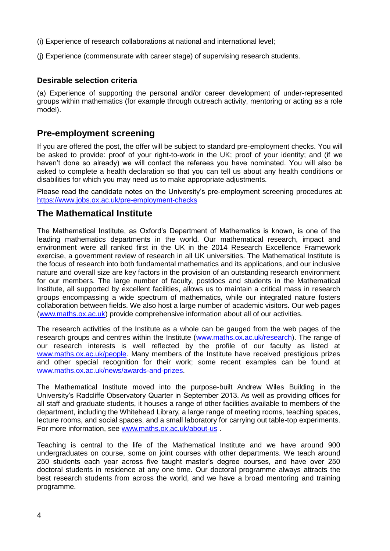- (i) Experience of research collaborations at national and international level;
- (j) Experience (commensurate with career stage) of supervising research students.

#### **Desirable selection criteria**

(a) Experience of supporting the personal and/or career development of under-represented groups within mathematics (for example through outreach activity, mentoring or acting as a role model).

### **Pre-employment screening**

If you are offered the post, the offer will be subject to standard pre-employment checks. You will be asked to provide: proof of your right-to-work in the UK; proof of your identity; and (if we haven't done so already) we will contact the referees you have nominated. You will also be asked to complete a health declaration so that you can tell us about any health conditions or disabilities for which you may need us to make appropriate adjustments.

Please read the candidate notes on the University's pre-employment screening procedures at: <https://www.jobs.ox.ac.uk/pre-employment-checks>

### **The Mathematical Institute**

The Mathematical Institute, as Oxford's Department of Mathematics is known, is one of the leading mathematics departments in the world. Our mathematical research, impact and environment were all ranked first in the UK in the 2014 Research Excellence Framework exercise, a government review of research in all UK universities. The Mathematical Institute is the focus of research into both fundamental mathematics and its applications, and our inclusive nature and overall size are key factors in the provision of an outstanding research environment for our members. The large number of faculty, postdocs and students in the Mathematical Institute, all supported by excellent facilities, allows us to maintain a critical mass in research groups encompassing a wide spectrum of mathematics, while our integrated nature fosters collaboration between fields. We also host a large number of academic visitors. Our web pages [\(www.maths.ox.ac.uk\)](http://www.maths.ox.ac.uk/) provide comprehensive information about all of our activities.

The research activities of the Institute as a whole can be gauged from the web pages of the research groups and centres within the Institute [\(www.maths.ox.ac.uk/research\)](http://www.maths.ox.ac.uk/research). The range of our research interests is well reflected by the profile of our faculty as listed at [www.maths.ox.ac.uk/people.](http://www.maths.ox.ac.uk/people) Many members of the Institute have received prestigious prizes and other special recognition for their work; some recent examples can be found at [www.maths.ox.ac.uk/news/awards-and-prizes.](http://www.maths.ox.ac.uk/news/awards-and-prizes)

The Mathematical Institute moved into the purpose-built Andrew Wiles Building in the University's Radcliffe Observatory Quarter in September 2013. As well as providing offices for all staff and graduate students, it houses a range of other facilities available to members of the department, including the Whitehead Library, a large range of meeting rooms, teaching spaces, lecture rooms, and social spaces, and a small laboratory for carrying out table-top experiments. For more information, see [www.maths.ox.ac.uk/about-us](http://www.maths.ox.ac.uk/about-us) .

Teaching is central to the life of the Mathematical Institute and we have around 900 undergraduates on course, some on joint courses with other departments. We teach around 250 students each year across five taught master's degree courses, and have over 250 doctoral students in residence at any one time. Our doctoral programme always attracts the best research students from across the world, and we have a broad mentoring and training programme.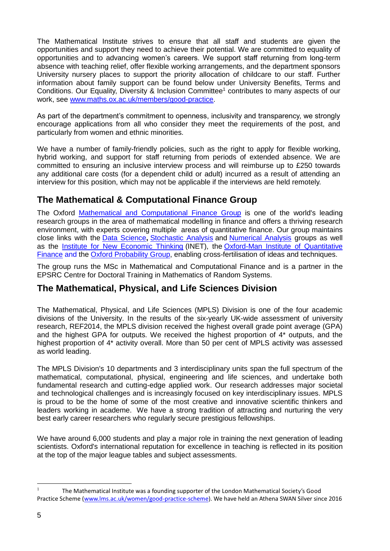The Mathematical Institute strives to ensure that all staff and students are given the opportunities and support they need to achieve their potential. We are committed to equality of opportunities and to advancing women's careers. We support staff returning from long-term absence with teaching relief, offer flexible working arrangements, and the department sponsors University nursery places to support the priority allocation of childcare to our staff. Further information about family support can be found below under University Benefits, Terms and Conditions. Our Equality, Diversity & Inclusion Committee<sup>1</sup> contributes to many aspects of our work, see [www.maths.ox.ac.uk/members/good-practice.](http://www.maths.ox.ac.uk/members/good-practice)

As part of the department's commitment to openness, inclusivity and transparency, we strongly encourage applications from all who consider they meet the requirements of the post, and particularly from women and ethnic minorities.

We have a number of family-friendly policies, such as the right to apply for flexible working, hybrid working, and support for staff returning from periods of extended absence. We are committed to ensuring an inclusive interview process and will reimburse up to £250 towards any additional care costs (for a dependent child or adult) incurred as a result of attending an interview for this position, which may not be applicable if the interviews are held remotely.

# **The Mathematical & Computational Finance Group**

The Oxford [Mathematical and Computational Finance Group](https://www.maths.ox.ac.uk/groups/mathematical-finance/) is one of the world's leading research groups in the area of mathematical modelling in finance and offers a thriving research environment, with experts covering multiple areas of quantitative finance. Our group maintains close links with the [Data Science](https://www.maths.ox.ac.uk/groups/data-science/members)**,** [Stochastic Analysis](https://www.maths.ox.ac.uk/groups/stochastic-analysis/members) and [Numerical Analysis](https://www.maths.ox.ac.uk/groups/numerical-analysis) groups as well as the [Institute for New Economic Thinking](https://www.ineteconomics.org/) (INET), the [Oxford-Man Institute of Quantitative](https://www.oxford-man.ox.ac.uk/)  [Finance](https://www.oxford-man.ox.ac.uk/) and the [Oxford Probability](https://oxfordprobability.wordpress.com/) Group, enabling cross-fertilisation of ideas and techniques.

The group runs the MSc in Mathematical and Computational Finance and is a partner in the EPSRC Centre for Doctoral Training in Mathematics of Random Systems.

# **The Mathematical, Physical, and Life Sciences Division**

The Mathematical, Physical, and Life Sciences (MPLS) Division is one of the four academic divisions of the University. In the results of the six-yearly UK-wide assessment of university research, REF2014, the MPLS division received the highest overall grade point average (GPA) and the highest GPA for outputs. We received the highest proportion of 4\* outputs, and the highest proportion of 4\* activity overall. More than 50 per cent of MPLS activity was assessed as world leading.

The MPLS Division's 10 departments and 3 interdisciplinary units span the full spectrum of the mathematical, computational, physical, engineering and life sciences, and undertake both fundamental research and cutting-edge applied work. Our research addresses major societal and technological challenges and is increasingly focused on key interdisciplinary issues. MPLS is proud to be the home of some of the most creative and innovative scientific thinkers and leaders working in academe. We have a strong tradition of attracting and nurturing the very best early career researchers who regularly secure prestigious fellowships.

We have around 6,000 students and play a major role in training the next generation of leading scientists. Oxford's international reputation for excellence in teaching is reflected in its position at the top of the major league tables and subject assessments.

 $\mathbf{1}$ <sup>1</sup> The Mathematical Institute was a founding supporter of the London Mathematical Society's Good Practice Scheme [\(www.lms.ac.uk/women/good-practice-scheme\)](http://www.lms.ac.uk/women/good-practice-scheme). We have held an Athena SWAN Silver since 2016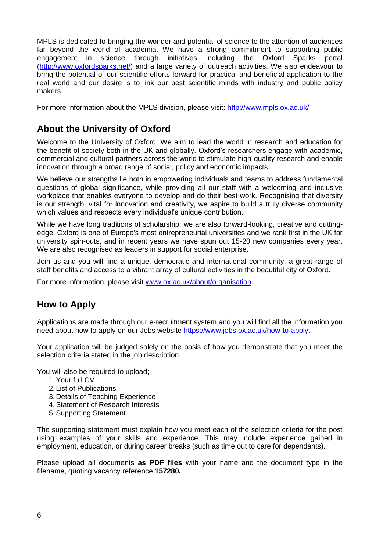MPLS is dedicated to bringing the wonder and potential of science to the attention of audiences far beyond the world of academia. We have a strong commitment to supporting public engagement in science through initiatives including the Oxford Sparks portal [\(http://www.oxfordsparks.net/\)](http://www.oxfordsparks.net/) and a large variety of outreach activities. We also endeavour to bring the potential of our scientific efforts forward for practical and beneficial application to the real world and our desire is to link our best scientific minds with industry and public policy makers.

For more information about the MPLS division, please visit:<http://www.mpls.ox.ac.uk/>

# **About the University of Oxford**

Welcome to the University of Oxford. We aim to lead the world in research and education for the benefit of society both in the UK and globally. Oxford's researchers engage with academic, commercial and cultural partners across the world to stimulate high-quality research and enable innovation through a broad range of social, policy and economic impacts.

We believe our strengths lie both in empowering individuals and teams to address fundamental questions of global significance, while providing all our staff with a welcoming and inclusive workplace that enables everyone to develop and do their best work. Recognising that diversity is our strength, vital for innovation and creativity, we aspire to build a truly diverse community which values and respects every individual's unique contribution.

While we have long traditions of scholarship, we are also forward-looking, creative and cuttingedge. Oxford is one of Europe's most entrepreneurial universities and we rank first in the UK for university spin-outs, and in recent years we have spun out 15-20 new companies every year. We are also recognised as leaders in support for social enterprise.

Join us and you will find a unique, democratic and international community, a great range of staff benefits and access to a vibrant array of cultural activities in the beautiful city of Oxford.

For more information, please visit [www.ox.ac.uk/about/organisation.](http://www.ox.ac.uk/about/organisation)

# **How to Apply**

Applications are made through our e-recruitment system and you will find all the information you need about how to apply on our Jobs website [https://www.jobs.ox.ac.uk/how-to-apply.](https://www.jobs.ox.ac.uk/how-to-apply)

Your application will be judged solely on the basis of how you demonstrate that you meet the selection criteria stated in the job description.

You will also be required to upload;

- 1.Your full CV
- 2. List of Publications
- 3. Details of Teaching Experience
- 4.Statement of Research Interests
- 5.Supporting Statement

The supporting statement must explain how you meet each of the selection criteria for the post using examples of your skills and experience. This may include experience gained in employment, education, or during career breaks (such as time out to care for dependants).

Please upload all documents **as PDF files** with your name and the document type in the filename, quoting vacancy reference **157280.**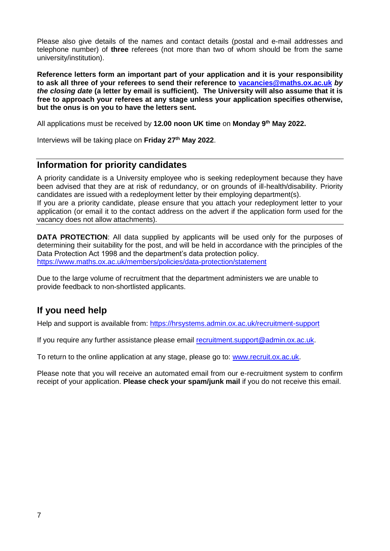Please also give details of the names and contact details (postal and e-mail addresses and telephone number) of **three** referees (not more than two of whom should be from the same university/institution).

**Reference letters form an important part of your application and it is your responsibility to ask all three of your referees to send their reference to [vacancies@maths.ox.ac.uk](mailto:vacancies@maths.ox.ac.uk)** *by the closing date* **(a letter by email is sufficient)***.* **The University will also assume that it is free to approach your referees at any stage unless your application specifies otherwise, but the onus is on you to have the letters sent.** 

All applications must be received by **12.00 noon UK time** on **Monday 9th May 2022.**

Interviews will be taking place on **Friday 27th May 2022**.

### **Information for priority candidates**

A priority candidate is a University employee who is seeking redeployment because they have been advised that they are at risk of redundancy, or on grounds of ill-health/disability. Priority candidates are issued with a redeployment letter by their employing department(s). If you are a priority candidate, please ensure that you attach your redeployment letter to your

application (or email it to the contact address on the advert if the application form used for the vacancy does not allow attachments).

**DATA PROTECTION:** All data supplied by applicants will be used only for the purposes of determining their suitability for the post, and will be held in accordance with the principles of the Data Protection Act 1998 and the department's data protection policy. <https://www.maths.ox.ac.uk/members/policies/data-protection/statement>

Due to the large volume of recruitment that the department administers we are unable to provide feedback to non-shortlisted applicants.

# **If you need help**

Help and support is available from:<https://hrsystems.admin.ox.ac.uk/recruitment-support>

If you require any further assistance please email [recruitment.support@admin.ox.ac.uk.](mailto:recruitment.support@admin.ox.ac.uk)

To return to the online application at any stage, please go to: [www.recruit.ox.ac.uk.](http://www.recruit.ox.ac.uk/)

Please note that you will receive an automated email from our e-recruitment system to confirm receipt of your application. **Please check your spam/junk mail** if you do not receive this email.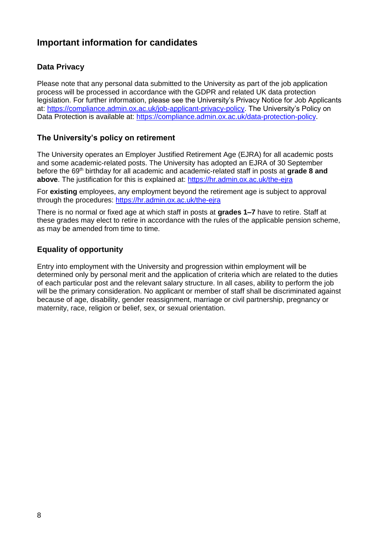# **Important information for candidates**

#### **Data Privacy**

Please note that any personal data submitted to the University as part of the job application process will be processed in accordance with the GDPR and related UK data protection legislation. For further information, please see the University's Privacy Notice for Job Applicants at: [https://compliance.admin.ox.ac.uk/job-applicant-privacy-policy.](https://compliance.admin.ox.ac.uk/job-applicant-privacy-policy) The University's Policy on Data Protection is available at: [https://compliance.admin.ox.ac.uk/data-protection-policy.](https://compliance.admin.ox.ac.uk/data-protection-policy)

### **The University's policy on retirement**

The University operates an Employer Justified Retirement Age (EJRA) for all academic posts and some academic-related posts. The University has adopted an EJRA of 30 September before the 69th birthday for all academic and academic-related staff in posts at **grade 8 and above**. The justification for this is explained at:<https://hr.admin.ox.ac.uk/the-ejra>

For **existing** employees, any employment beyond the retirement age is subject to approval through the procedures:<https://hr.admin.ox.ac.uk/the-ejra>

There is no normal or fixed age at which staff in posts at **grades 1–7** have to retire. Staff at these grades may elect to retire in accordance with the rules of the applicable pension scheme, as may be amended from time to time.

### **Equality of opportunity**

Entry into employment with the University and progression within employment will be determined only by personal merit and the application of criteria which are related to the duties of each particular post and the relevant salary structure. In all cases, ability to perform the job will be the primary consideration. No applicant or member of staff shall be discriminated against because of age, disability, gender reassignment, marriage or civil partnership, pregnancy or maternity, race, religion or belief, sex, or sexual orientation.